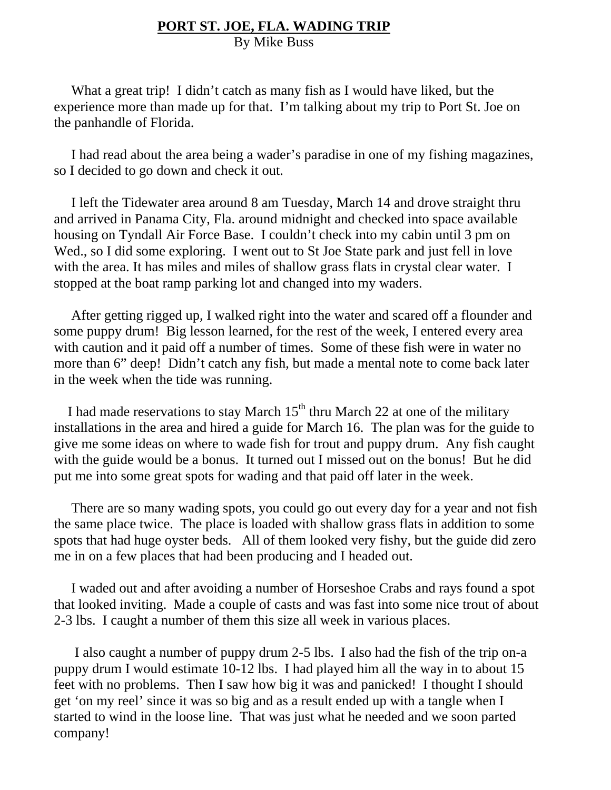## **PORT ST. JOE, FLA. WADING TRIP**

By Mike Buss

What a great trip! I didn't catch as many fish as I would have liked, but the experience more than made up for that. I'm talking about my trip to Port St. Joe on the panhandle of Florida.

 I had read about the area being a wader's paradise in one of my fishing magazines, so I decided to go down and check it out.

 I left the Tidewater area around 8 am Tuesday, March 14 and drove straight thru and arrived in Panama City, Fla. around midnight and checked into space available housing on Tyndall Air Force Base. I couldn't check into my cabin until 3 pm on Wed., so I did some exploring. I went out to St Joe State park and just fell in love with the area. It has miles and miles of shallow grass flats in crystal clear water. I stopped at the boat ramp parking lot and changed into my waders.

 After getting rigged up, I walked right into the water and scared off a flounder and some puppy drum! Big lesson learned, for the rest of the week, I entered every area with caution and it paid off a number of times. Some of these fish were in water no more than 6" deep! Didn't catch any fish, but made a mental note to come back later in the week when the tide was running.

I had made reservations to stay March  $15<sup>th</sup>$  thru March 22 at one of the military installations in the area and hired a guide for March 16. The plan was for the guide to give me some ideas on where to wade fish for trout and puppy drum. Any fish caught with the guide would be a bonus. It turned out I missed out on the bonus! But he did put me into some great spots for wading and that paid off later in the week.

 There are so many wading spots, you could go out every day for a year and not fish the same place twice. The place is loaded with shallow grass flats in addition to some spots that had huge oyster beds. All of them looked very fishy, but the guide did zero me in on a few places that had been producing and I headed out.

 I waded out and after avoiding a number of Horseshoe Crabs and rays found a spot that looked inviting. Made a couple of casts and was fast into some nice trout of about 2-3 lbs. I caught a number of them this size all week in various places.

 I also caught a number of puppy drum 2-5 lbs. I also had the fish of the trip on-a puppy drum I would estimate 10-12 lbs. I had played him all the way in to about 15 feet with no problems. Then I saw how big it was and panicked! I thought I should get 'on my reel' since it was so big and as a result ended up with a tangle when I started to wind in the loose line. That was just what he needed and we soon parted company!